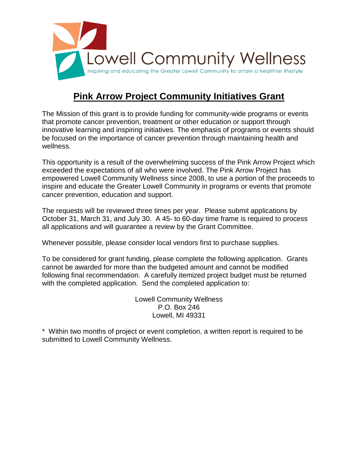

## **Pink Arrow Project Community Initiatives Grant**

The Mission of this grant is to provide funding for community-wide programs or events that promote cancer prevention, treatment or other education or support through innovative learning and inspiring initiatives. The emphasis of programs or events should be focused on the importance of cancer prevention through maintaining health and wellness.

This opportunity is a result of the overwhelming success of the Pink Arrow Project which exceeded the expectations of all who were involved. The Pink Arrow Project has empowered Lowell Community Wellness since 2008, to use a portion of the proceeds to inspire and educate the Greater Lowell Community in programs or events that promote cancer prevention, education and support.

The requests will be reviewed three times per year. Please submit applications by October 31, March 31, and July 30. A 45- to 60-day time frame is required to process all applications and will guarantee a review by the Grant Committee.

Whenever possible, please consider local vendors first to purchase supplies.

To be considered for grant funding, please complete the following application. Grants cannot be awarded for more than the budgeted amount and cannot be modified following final recommendation. A carefully itemized project budget must be returned with the completed application. Send the completed application to:

> Lowell Community Wellness P.O. Box 246 Lowell, MI 49331

\* Within two months of project or event completion, a written report is required to be submitted to Lowell Community Wellness.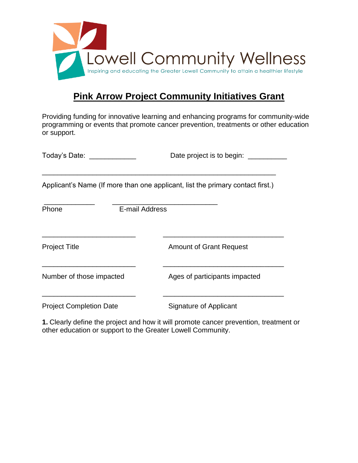

## **Pink Arrow Project Community Initiatives Grant**

Providing funding for innovative learning and enhancing programs for community-wide programming or events that promote cancer prevention, treatments or other education or support.

| Today's Date: _____            | Date project is to begin: __                                                   |
|--------------------------------|--------------------------------------------------------------------------------|
|                                | Applicant's Name (If more than one applicant, list the primary contact first.) |
| E-mail Address<br>Phone        |                                                                                |
| <b>Project Title</b>           | <b>Amount of Grant Request</b>                                                 |
| Number of those impacted       | Ages of participants impacted                                                  |
| <b>Project Completion Date</b> | Signature of Applicant                                                         |

**1.** Clearly define the project and how it will promote cancer prevention, treatment or other education or support to the Greater Lowell Community.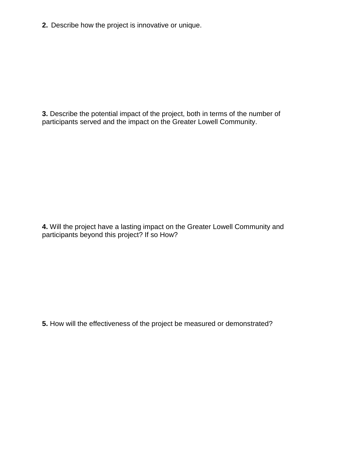**2.** Describe how the project is innovative or unique.

**3.** Describe the potential impact of the project, both in terms of the number of participants served and the impact on the Greater Lowell Community.

**4.** Will the project have a lasting impact on the Greater Lowell Community and participants beyond this project? If so How?

**5.** How will the effectiveness of the project be measured or demonstrated?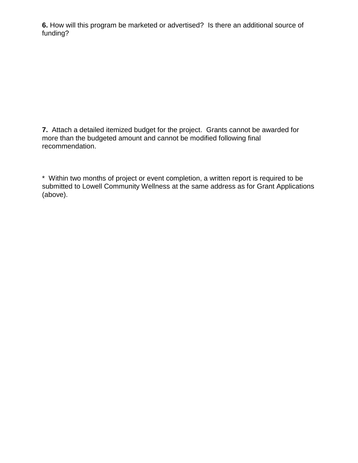**6.** How will this program be marketed or advertised? Is there an additional source of funding?

**7.** Attach a detailed itemized budget for the project. Grants cannot be awarded for more than the budgeted amount and cannot be modified following final recommendation.

\* Within two months of project or event completion, a written report is required to be submitted to Lowell Community Wellness at the same address as for Grant Applications (above).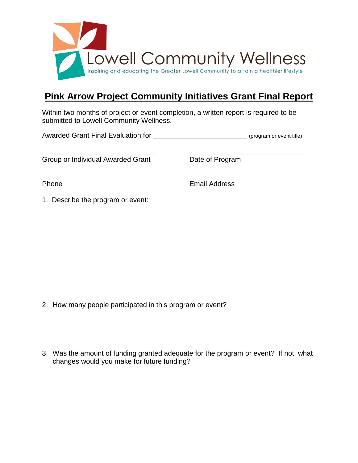

## **Pink Arrow Project Community Initiatives Grant Final Report**

Within two months of project or event completion, a written report is required to be submitted to Lowell Community Wellness.

Awarded Grant Final Evaluation for **Accord 1997** (program or event title)

Group or Individual Awarded Grant Date of Program

 $\overline{\phantom{a}}$  , and the contribution of the contribution of  $\overline{\phantom{a}}$  , and  $\overline{\phantom{a}}$  , and  $\overline{\phantom{a}}$  , and  $\overline{\phantom{a}}$  , and  $\overline{\phantom{a}}$  , and  $\overline{\phantom{a}}$  , and  $\overline{\phantom{a}}$  , and  $\overline{\phantom{a}}$  , and  $\overline{\phantom{a}}$  , and

\_\_\_\_\_\_\_\_\_\_\_\_\_\_\_\_\_\_\_\_\_\_\_\_\_\_\_\_\_ \_\_\_\_\_\_\_\_\_\_\_\_\_\_\_\_\_\_\_\_\_\_\_\_\_\_\_\_\_ Phone **Email Address** 

1. Describe the program or event:

- 2. How many people participated in this program or event?
- 3. Was the amount of funding granted adequate for the program or event? If not, what changes would you make for future funding?